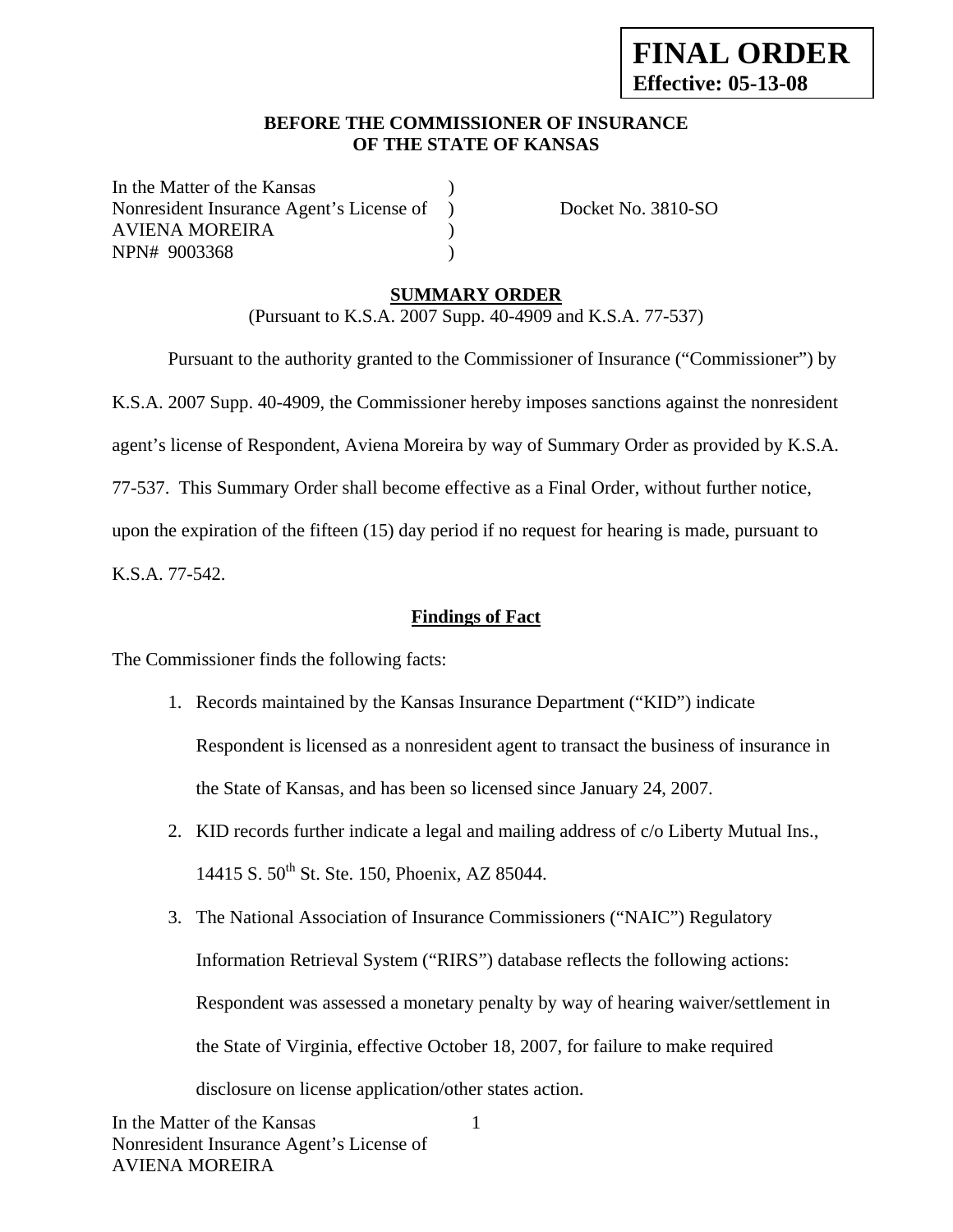### **BEFORE THE COMMISSIONER OF INSURANCE OF THE STATE OF KANSAS**

In the Matter of the Kansas Nonresident Insurance Agent's License of ) Docket No. 3810-SO AVIENA MOREIRA ) NPN# 9003368 )

### **SUMMARY ORDER**

(Pursuant to K.S.A. 2007 Supp. 40-4909 and K.S.A. 77-537)

 Pursuant to the authority granted to the Commissioner of Insurance ("Commissioner") by K.S.A. 2007 Supp. 40-4909, the Commissioner hereby imposes sanctions against the nonresident agent's license of Respondent, Aviena Moreira by way of Summary Order as provided by K.S.A. 77-537. This Summary Order shall become effective as a Final Order, without further notice, upon the expiration of the fifteen (15) day period if no request for hearing is made, pursuant to K.S.A. 77-542.

**Findings of Fact**

The Commissioner finds the following facts:

- 1. Records maintained by the Kansas Insurance Department ("KID") indicate Respondent is licensed as a nonresident agent to transact the business of insurance in the State of Kansas, and has been so licensed since January 24, 2007.
- 2. KID records further indicate a legal and mailing address of c/o Liberty Mutual Ins., 14415 S. 50<sup>th</sup> St. Ste. 150, Phoenix, AZ 85044.
- 3. The National Association of Insurance Commissioners ("NAIC") Regulatory Information Retrieval System ("RIRS") database reflects the following actions: Respondent was assessed a monetary penalty by way of hearing waiver/settlement in the State of Virginia, effective October 18, 2007, for failure to make required disclosure on license application/other states action.

1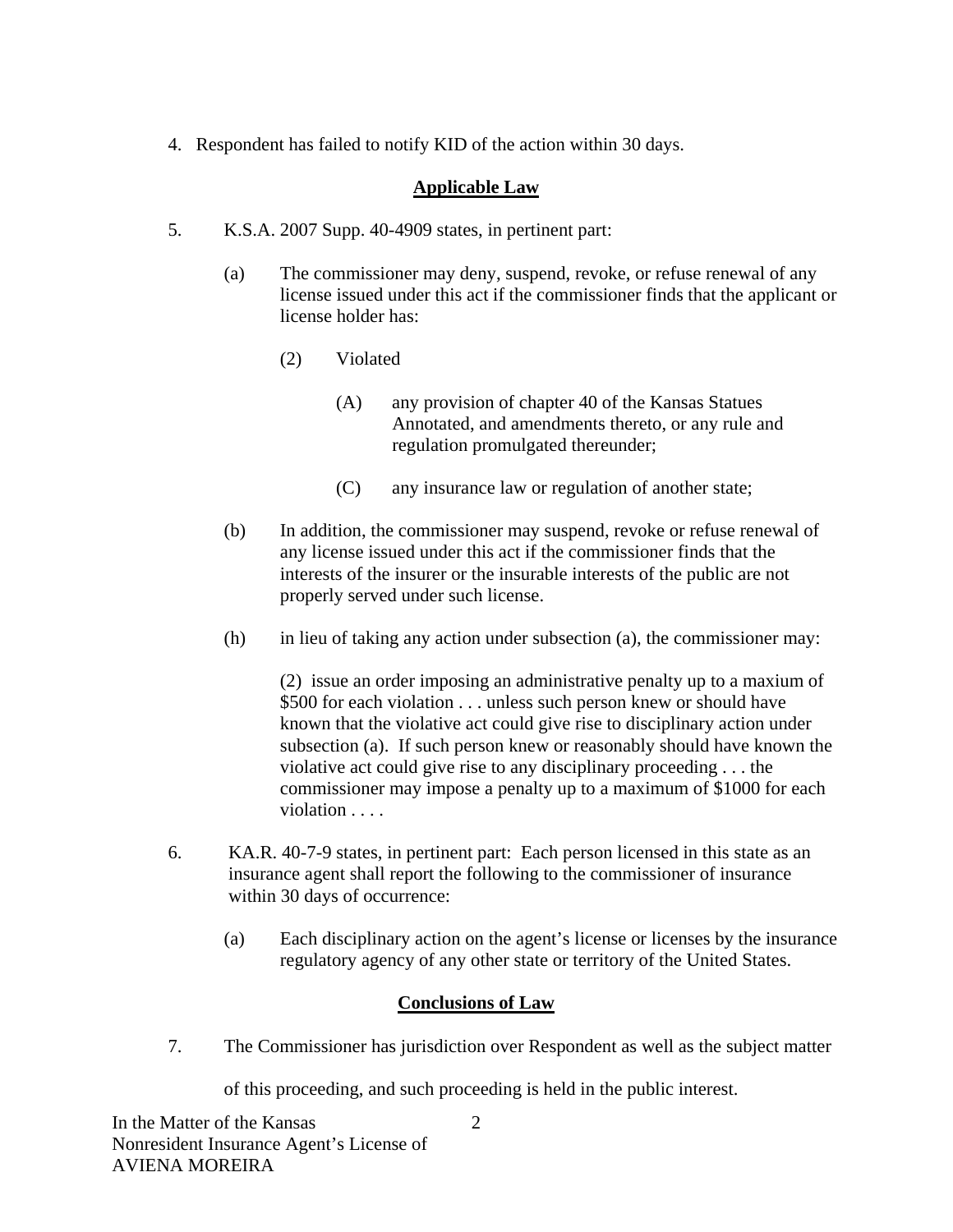4. Respondent has failed to notify KID of the action within 30 days.

# **Applicable Law**

- 5. K.S.A. 2007 Supp. 40-4909 states, in pertinent part:
	- (a) The commissioner may deny, suspend, revoke, or refuse renewal of any license issued under this act if the commissioner finds that the applicant or license holder has:
		- (2) Violated
			- (A) any provision of chapter 40 of the Kansas Statues Annotated, and amendments thereto, or any rule and regulation promulgated thereunder;
			- (C) any insurance law or regulation of another state;
	- (b) In addition, the commissioner may suspend, revoke or refuse renewal of any license issued under this act if the commissioner finds that the interests of the insurer or the insurable interests of the public are not properly served under such license.
	- (h) in lieu of taking any action under subsection (a), the commissioner may:

(2) issue an order imposing an administrative penalty up to a maxium of \$500 for each violation . . . unless such person knew or should have known that the violative act could give rise to disciplinary action under subsection (a). If such person knew or reasonably should have known the violative act could give rise to any disciplinary proceeding . . . the commissioner may impose a penalty up to a maximum of \$1000 for each violation . . . . .

- 6. KA.R. 40-7-9 states, in pertinent part: Each person licensed in this state as an insurance agent shall report the following to the commissioner of insurance within 30 days of occurrence:
	- (a) Each disciplinary action on the agent's license or licenses by the insurance regulatory agency of any other state or territory of the United States.

### **Conclusions of Law**

7. The Commissioner has jurisdiction over Respondent as well as the subject matter

of this proceeding, and such proceeding is held in the public interest.

2

In the Matter of the Kansas Nonresident Insurance Agent's License of AVIENA MOREIRA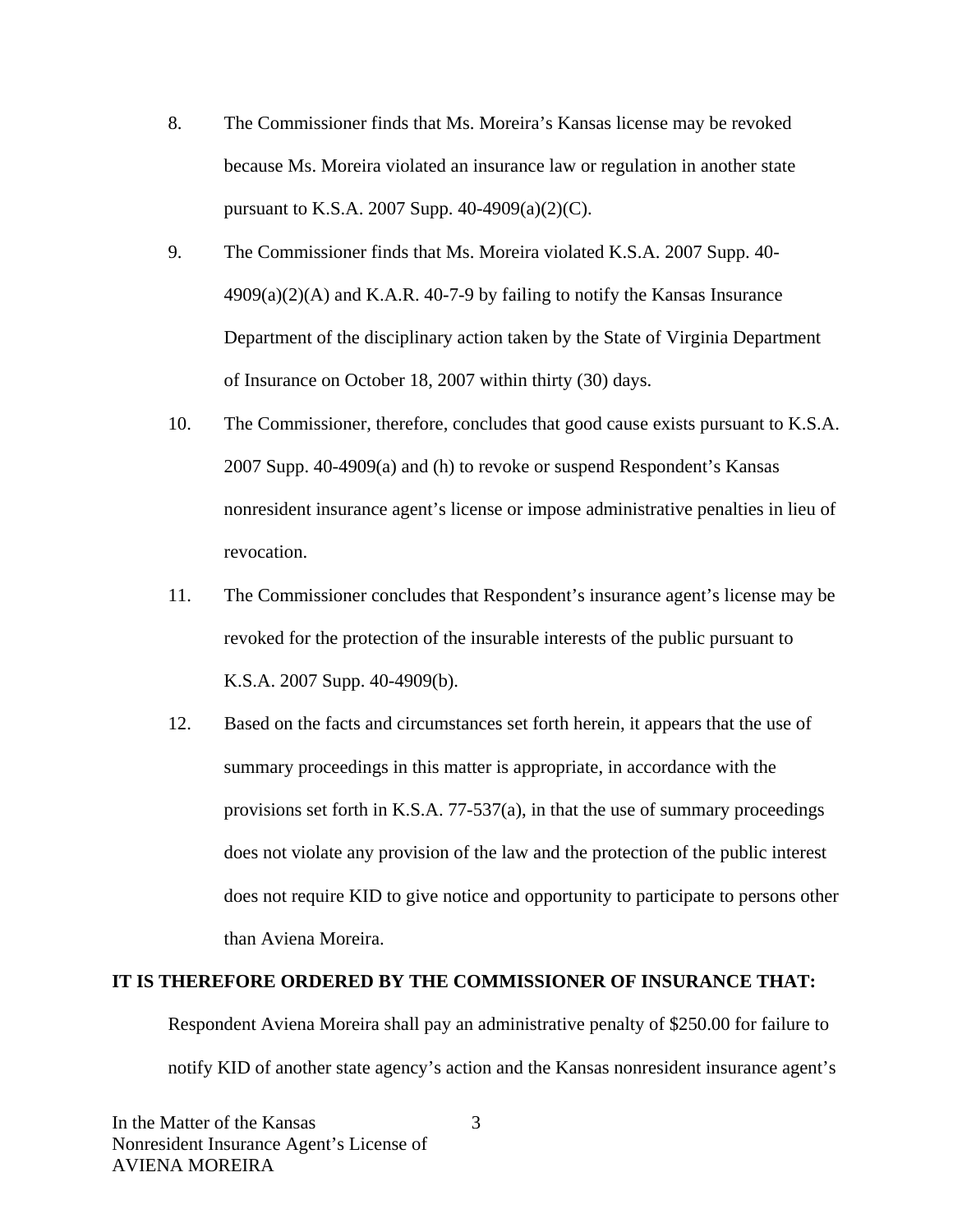- 8. The Commissioner finds that Ms. Moreira's Kansas license may be revoked because Ms. Moreira violated an insurance law or regulation in another state pursuant to K.S.A. 2007 Supp. 40-4909(a)(2)(C).
- 9. The Commissioner finds that Ms. Moreira violated K.S.A. 2007 Supp. 40-  $4909(a)(2)(A)$  and K.A.R. 40-7-9 by failing to notify the Kansas Insurance Department of the disciplinary action taken by the State of Virginia Department of Insurance on October 18, 2007 within thirty (30) days.
- 10. The Commissioner, therefore, concludes that good cause exists pursuant to K.S.A. 2007 Supp. 40-4909(a) and (h) to revoke or suspend Respondent's Kansas nonresident insurance agent's license or impose administrative penalties in lieu of revocation.
- 11. The Commissioner concludes that Respondent's insurance agent's license may be revoked for the protection of the insurable interests of the public pursuant to K.S.A. 2007 Supp. 40-4909(b).
- 12. Based on the facts and circumstances set forth herein, it appears that the use of summary proceedings in this matter is appropriate, in accordance with the provisions set forth in K.S.A. 77-537(a), in that the use of summary proceedings does not violate any provision of the law and the protection of the public interest does not require KID to give notice and opportunity to participate to persons other than Aviena Moreira.

#### **IT IS THEREFORE ORDERED BY THE COMMISSIONER OF INSURANCE THAT:**

Respondent Aviena Moreira shall pay an administrative penalty of \$250.00 for failure to notify KID of another state agency's action and the Kansas nonresident insurance agent's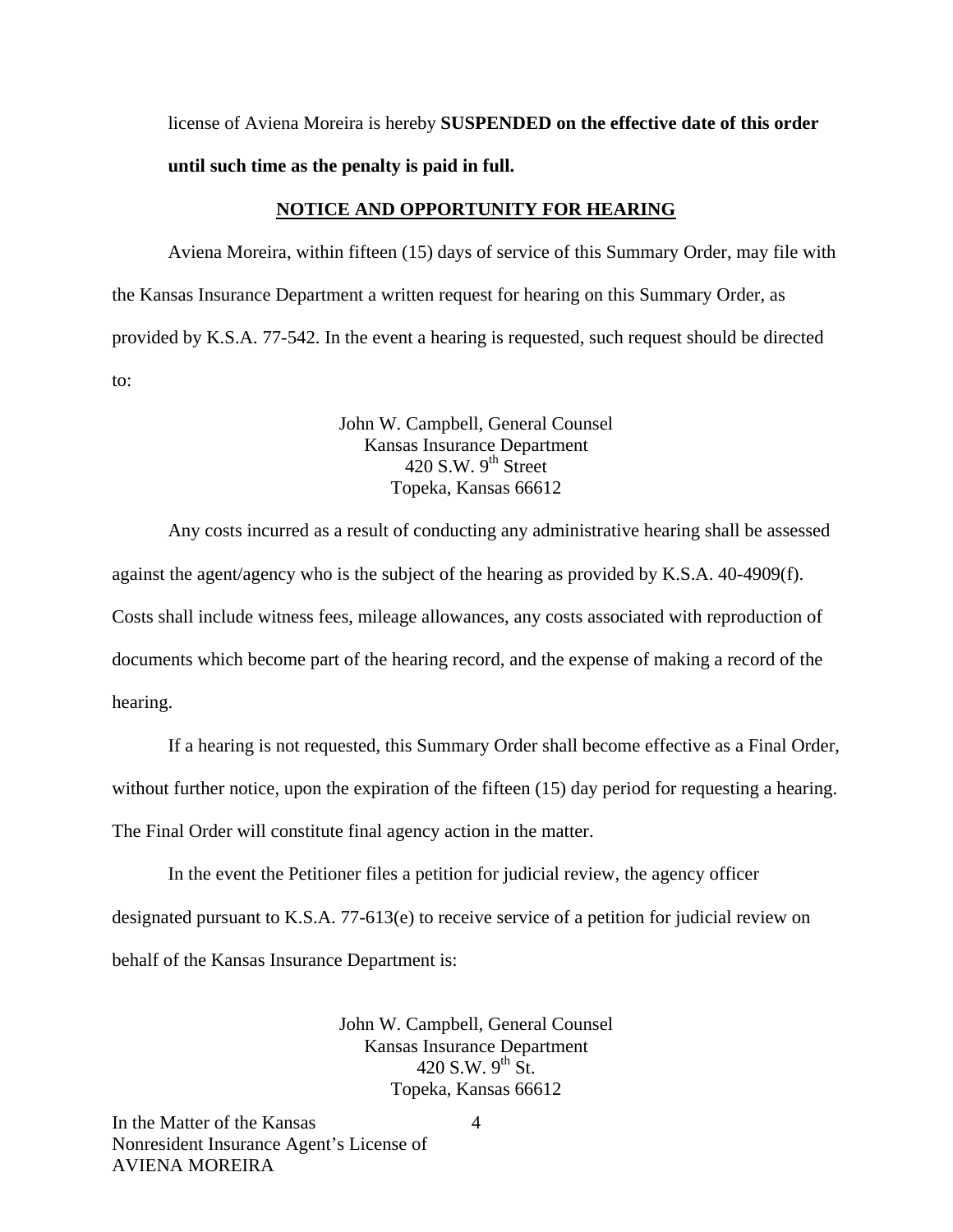license of Aviena Moreira is hereby **SUSPENDED on the effective date of this order until such time as the penalty is paid in full.** 

#### **NOTICE AND OPPORTUNITY FOR HEARING**

Aviena Moreira, within fifteen (15) days of service of this Summary Order, may file with the Kansas Insurance Department a written request for hearing on this Summary Order, as provided by K.S.A. 77-542. In the event a hearing is requested, such request should be directed to:

> John W. Campbell, General Counsel Kansas Insurance Department  $420$  S.W. 9<sup>th</sup> Street Topeka, Kansas 66612

Any costs incurred as a result of conducting any administrative hearing shall be assessed against the agent/agency who is the subject of the hearing as provided by K.S.A. 40-4909(f). Costs shall include witness fees, mileage allowances, any costs associated with reproduction of documents which become part of the hearing record, and the expense of making a record of the hearing.

If a hearing is not requested, this Summary Order shall become effective as a Final Order,

without further notice, upon the expiration of the fifteen (15) day period for requesting a hearing.

The Final Order will constitute final agency action in the matter.

In the event the Petitioner files a petition for judicial review, the agency officer designated pursuant to K.S.A. 77-613(e) to receive service of a petition for judicial review on behalf of the Kansas Insurance Department is:

> John W. Campbell, General Counsel Kansas Insurance Department 420 S.W. 9<sup>th</sup> St. Topeka, Kansas 66612

In the Matter of the Kansas Nonresident Insurance Agent's License of AVIENA MOREIRA